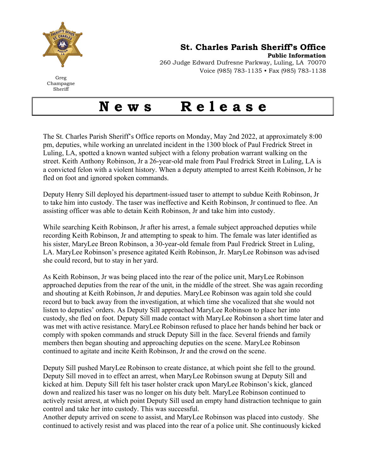

St. Charles Parish Sheriff's Office

Public Information 260 Judge Edward Dufresne Parkway, Luling, LA 70070 Voice (985) 783-1135 • Fax (985) 783-1138

Greg Champagne Sheriff

## News Release

The St. Charles Parish Sheriff's Office reports on Monday, May 2nd 2022, at approximately 8:00 pm, deputies, while working an unrelated incident in the 1300 block of Paul Fredrick Street in Luling, LA, spotted a known wanted subject with a felony probation warrant walking on the street. Keith Anthony Robinson, Jr a 26-year-old male from Paul Fredrick Street in Luling, LA is a convicted felon with a violent history. When a deputy attempted to arrest Keith Robinson, Jr he fled on foot and ignored spoken commands.

Deputy Henry Sill deployed his department-issued taser to attempt to subdue Keith Robinson, Jr to take him into custody. The taser was ineffective and Keith Robinson, Jr continued to flee. An assisting officer was able to detain Keith Robinson, Jr and take him into custody.

While searching Keith Robinson, Jr after his arrest, a female subject approached deputies while recording Keith Robinson, Jr and attempting to speak to him. The female was later identified as his sister, MaryLee Breon Robinson, a 30-year-old female from Paul Fredrick Street in Luling, LA. MaryLee Robinson's presence agitated Keith Robinson, Jr. MaryLee Robinson was advised she could record, but to stay in her yard.

As Keith Robinson, Jr was being placed into the rear of the police unit, MaryLee Robinson approached deputies from the rear of the unit, in the middle of the street. She was again recording and shouting at Keith Robinson, Jr and deputies. MaryLee Robinson was again told she could record but to back away from the investigation, at which time she vocalized that she would not listen to deputies' orders. As Deputy Sill approached MaryLee Robinson to place her into custody, she fled on foot. Deputy Sill made contact with MaryLee Robinson a short time later and was met with active resistance. MaryLee Robinson refused to place her hands behind her back or comply with spoken commands and struck Deputy Sill in the face. Several friends and family members then began shouting and approaching deputies on the scene. MaryLee Robinson continued to agitate and incite Keith Robinson, Jr and the crowd on the scene.

Deputy Sill pushed MaryLee Robinson to create distance, at which point she fell to the ground. Deputy Sill moved in to effect an arrest, when MaryLee Robinson swung at Deputy Sill and kicked at him. Deputy Sill felt his taser holster crack upon MaryLee Robinson's kick, glanced down and realized his taser was no longer on his duty belt. MaryLee Robinson continued to actively resist arrest, at which point Deputy Sill used an empty hand distraction technique to gain control and take her into custody. This was successful.

Another deputy arrived on scene to assist, and MaryLee Robinson was placed into custody. She continued to actively resist and was placed into the rear of a police unit. She continuously kicked